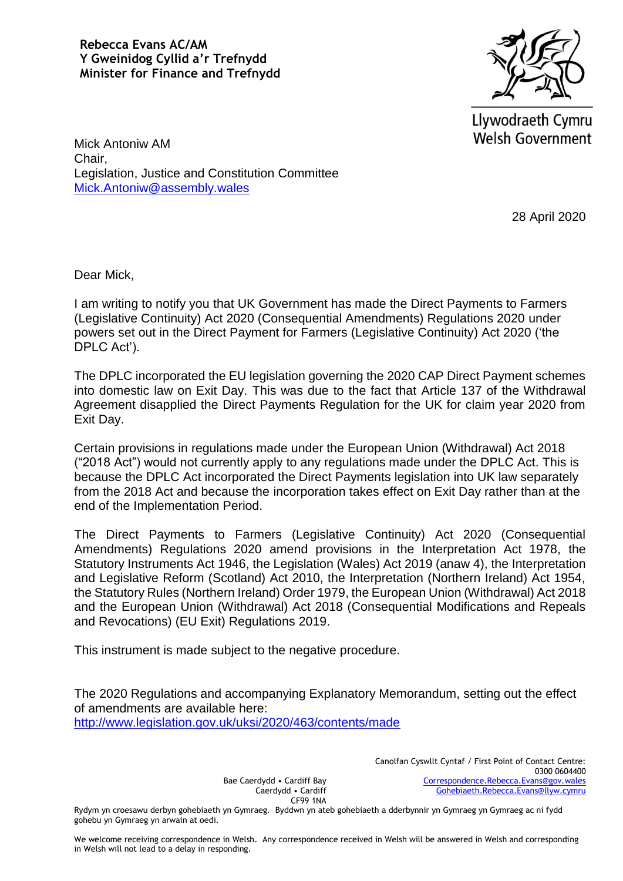**Rebecca Evans AC/AM Y Gweinidog Cyllid a'r Trefnydd Minister for Finance and Trefnydd**



Llywodraeth Cymru **Welsh Government** 

Mick Antoniw AM Chair, Legislation, Justice and Constitution Committee [Mick.Antoniw@assembly.wales](mailto:Mick.Antoniw@assembly.wales)

28 April 2020

Dear Mick,

I am writing to notify you that UK Government has made the Direct Payments to Farmers (Legislative Continuity) Act 2020 (Consequential Amendments) Regulations 2020 under powers set out in the Direct Payment for Farmers (Legislative Continuity) Act 2020 ('the DPLC Act').

The DPLC incorporated the EU legislation governing the 2020 CAP Direct Payment schemes into domestic law on Exit Day. This was due to the fact that Article 137 of the Withdrawal Agreement disapplied the Direct Payments Regulation for the UK for claim year 2020 from Exit Day.

Certain provisions in regulations made under the European Union (Withdrawal) Act 2018 ("2018 Act") would not currently apply to any regulations made under the DPLC Act. This is because the DPLC Act incorporated the Direct Payments legislation into UK law separately from the 2018 Act and because the incorporation takes effect on Exit Day rather than at the end of the Implementation Period.

The Direct Payments to Farmers (Legislative Continuity) Act 2020 (Consequential Amendments) Regulations 2020 amend provisions in the Interpretation Act 1978, the Statutory Instruments Act 1946, the Legislation (Wales) Act 2019 (anaw 4), the Interpretation and Legislative Reform (Scotland) Act 2010, the Interpretation (Northern Ireland) Act 1954, the Statutory Rules (Northern Ireland) Order 1979, the European Union (Withdrawal) Act 2018 and the European Union (Withdrawal) Act 2018 (Consequential Modifications and Repeals and Revocations) (EU Exit) Regulations 2019.

This instrument is made subject to the negative procedure.

The 2020 Regulations and accompanying Explanatory Memorandum, setting out the effect of amendments are available here: <http://www.legislation.gov.uk/uksi/2020/463/contents/made>

> Canolfan Cyswllt Cyntaf / First Point of Contact Centre: 0300 0604400 [Correspondence.Rebecca.Evans@gov.wales](mailto:Correspondence.Rebecca.Evans@gov.wales) [Gohebiaeth.Rebecca.Evans@llyw.cymru](mailto:Gohebiaeth.Rebecca.Evans@llyw.cymru)

Bae Caerdydd • Cardiff Bay Caerdydd • Cardiff CF99 1NA

Rydym yn croesawu derbyn gohebiaeth yn Gymraeg. Byddwn yn ateb gohebiaeth a dderbynnir yn Gymraeg yn Gymraeg ac ni fydd gohebu yn Gymraeg yn arwain at oedi.

We welcome receiving correspondence in Welsh. Any correspondence received in Welsh will be answered in Welsh and corresponding in Welsh will not lead to a delay in responding.